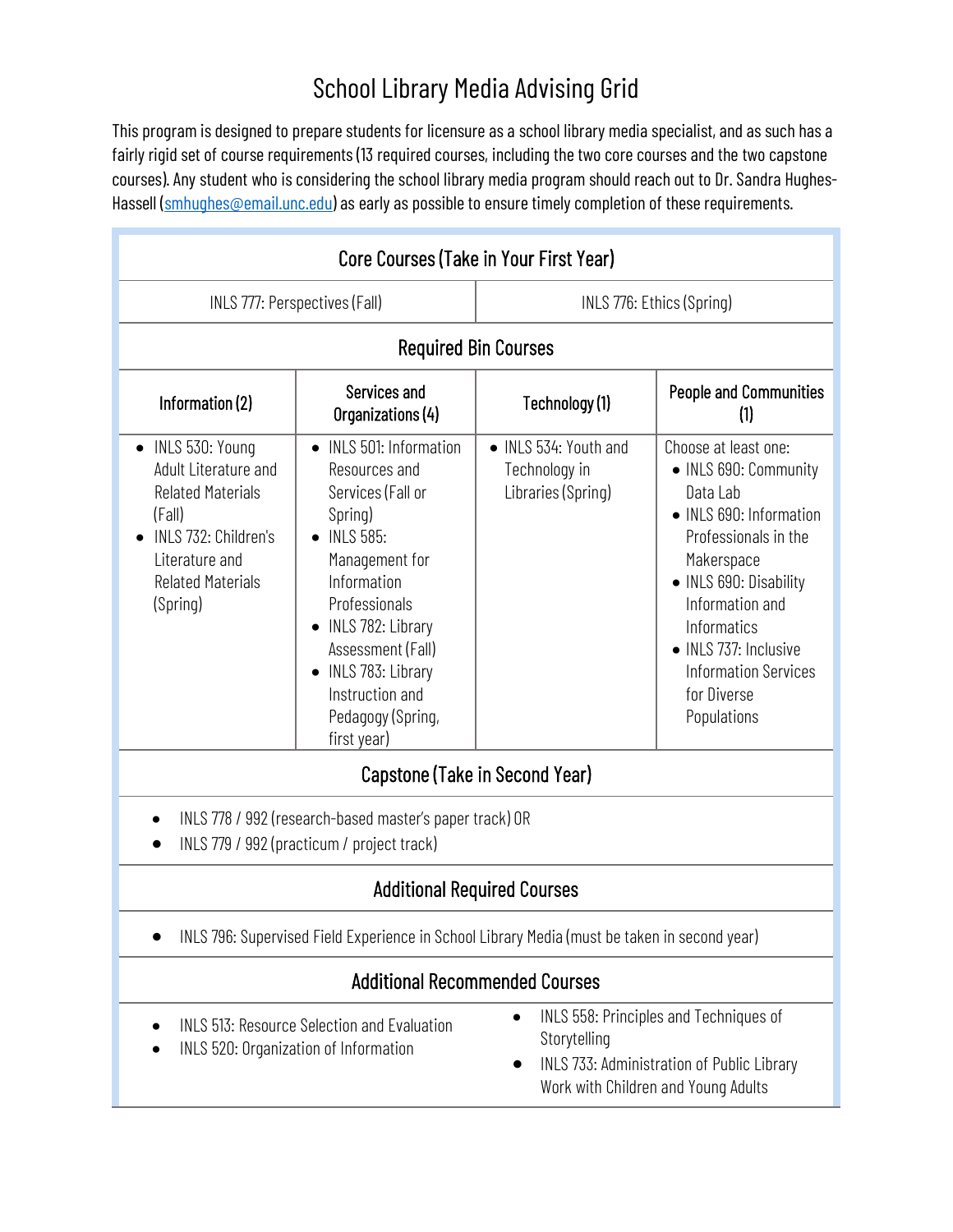## School Library Media Advising Grid

This program is designed to prepare students for licensure as a school library media specialist, and as such has a fairly rigid set of course requirements (13 required courses, including the two core courses and the two capstone courses). Any student who is considering the school library media program should reach out to Dr. Sandra Hughes-Hassell [\(smhughes@email.unc.edu\)](mailto:smhughes@email.unc.edu) as early as possible to ensure timely completion of these requirements.

| Core Courses (Take in Your First Year)                                                                                                                            |                                                                                                                                                                                                                                                                                                            |                                                              |                                                                                                                                                                                                                                                                              |
|-------------------------------------------------------------------------------------------------------------------------------------------------------------------|------------------------------------------------------------------------------------------------------------------------------------------------------------------------------------------------------------------------------------------------------------------------------------------------------------|--------------------------------------------------------------|------------------------------------------------------------------------------------------------------------------------------------------------------------------------------------------------------------------------------------------------------------------------------|
| INLS 777: Perspectives (Fall)                                                                                                                                     |                                                                                                                                                                                                                                                                                                            | INLS 776: Ethics (Spring)                                    |                                                                                                                                                                                                                                                                              |
| <b>Required Bin Courses</b>                                                                                                                                       |                                                                                                                                                                                                                                                                                                            |                                                              |                                                                                                                                                                                                                                                                              |
| Information (2)                                                                                                                                                   | Services and<br>Organizations (4)                                                                                                                                                                                                                                                                          | Technology (1)                                               | <b>People and Communities</b><br>(1)                                                                                                                                                                                                                                         |
| • INLS 530: Young<br>Adult Literature and<br><b>Related Materials</b><br>(Fall)<br>INLS 732: Children's<br>Literature and<br><b>Related Materials</b><br>(Spring) | <b>INLS 501: Information</b><br>$\bullet$<br>Resources and<br>Services (Fall or<br>Spring)<br><b>INLS 585:</b><br>$\bullet$<br>Management for<br>Information<br>Professionals<br>INLS 782: Library<br>٠<br>Assessment (Fall)<br>• INLS 783: Library<br>Instruction and<br>Pedagogy (Spring,<br>first year) | • INLS 534: Youth and<br>Technology in<br>Libraries (Spring) | Choose at least one:<br>• INLS 690: Community<br>Data Lab<br>• INLS 690: Information<br>Professionals in the<br>Makerspace<br>• INLS 690: Disability<br>Information and<br>Informatics<br>• INLS 737: Inclusive<br><b>Information Services</b><br>for Diverse<br>Populations |
| Capstone (Take in Second Year)                                                                                                                                    |                                                                                                                                                                                                                                                                                                            |                                                              |                                                                                                                                                                                                                                                                              |
| INLS 778 / 992 (research-based master's paper track) OR<br>INLS 779 / 992 (practicum / project track)                                                             |                                                                                                                                                                                                                                                                                                            |                                                              |                                                                                                                                                                                                                                                                              |
| <b>Additional Required Courses</b>                                                                                                                                |                                                                                                                                                                                                                                                                                                            |                                                              |                                                                                                                                                                                                                                                                              |
| INLS 796: Supervised Field Experience in School Library Media (must be taken in second year)                                                                      |                                                                                                                                                                                                                                                                                                            |                                                              |                                                                                                                                                                                                                                                                              |
| <b>Additional Recommended Courses</b>                                                                                                                             |                                                                                                                                                                                                                                                                                                            |                                                              |                                                                                                                                                                                                                                                                              |

- INLS 513: Resource Selection and Evaluation • INLS 520: Organization of Information
- INLS 558: Principles and Techniques of Storytelling
- INLS 733: Administration of Public Library Work with Children and Young Adults